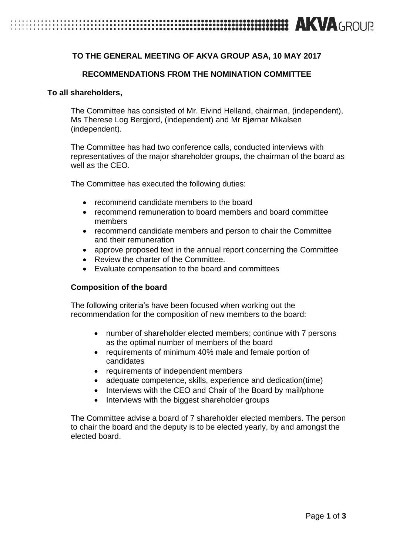# **EXAMPLE TO A ROUR SERVICE CONTROLLED A ROUR AND A GROUR**

### **TO THE GENERAL MEETING OF AKVA GROUP ASA, 10 MAY 2017**

### **RECOMMENDATIONS FROM THE NOMINATION COMMITTEE**

#### **To all shareholders,**

The Committee has consisted of Mr. Eivind Helland, chairman, (independent), Ms Therese Log Bergjord, (independent) and Mr Bjørnar Mikalsen (independent).

The Committee has had two conference calls, conducted interviews with representatives of the major shareholder groups, the chairman of the board as well as the CEO.

The Committee has executed the following duties:

- recommend candidate members to the board
- recommend remuneration to board members and board committee members
- recommend candidate members and person to chair the Committee and their remuneration
- approve proposed text in the annual report concerning the Committee
- Review the charter of the Committee.
- Evaluate compensation to the board and committees

#### **Composition of the board**

The following criteria's have been focused when working out the recommendation for the composition of new members to the board:

- number of shareholder elected members; continue with 7 persons as the optimal number of members of the board
- requirements of minimum 40% male and female portion of candidates
- requirements of independent members
- adequate competence, skills, experience and dedication(time)
- Interviews with the CEO and Chair of the Board by mail/phone
- Interviews with the biggest shareholder groups

The Committee advise a board of 7 shareholder elected members. The person to chair the board and the deputy is to be elected yearly, by and amongst the elected board.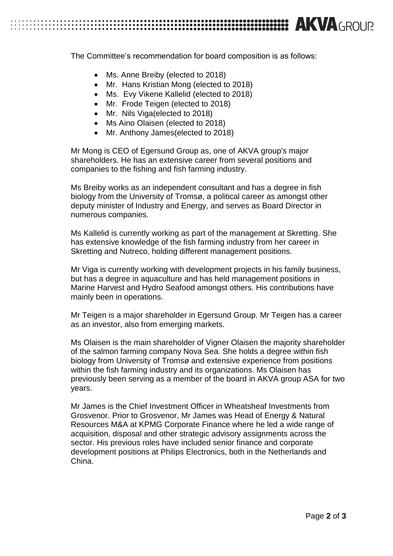# **EXAGROUR SECTION CONTROLLER CONTROLLER CONTROLLER CONTROLLER CONTROLLER CONTROLLER CONTROLLER CONTROLLER CONTROLLER CONTROLLER CONTROLLER CONTROLLER CONTROLLER CONTROLLER CONTROLLER CONTROLLER CONTROLLER CONTROLLER CONTRO**

The Committee's recommendation for board composition is as follows:

- Ms. Anne Breiby (elected to 2018)
- Mr. Hans Kristian Mong (elected to 2018)
- Ms. Evy Vikene Kallelid (elected to 2018)
- Mr. Frode Teigen (elected to 2018)
- Mr. Nils Viga(elected to 2018)
- Ms Aino Olaisen (elected to 2018)
- Mr. Anthony James (elected to 2018)

Mr Mong is CEO of Egersund Group as, one of AKVA group's major shareholders. He has an extensive career from several positions and companies to the fishing and fish farming industry.

Ms Breiby works as an independent consultant and has a degree in fish biology from the University of Tromsø, a political career as amongst other deputy minister of Industry and Energy, and serves as Board Director in numerous companies.

Ms Kallelid is currently working as part of the management at Skretting. She has extensive knowledge of the fish farming industry from her career in Skretting and Nutreco, holding different management positions.

Mr Viga is currently working with development projects in his family business, but has a degree in aquaculture and has held management positions in Marine Harvest and Hydro Seafood amongst others. His contributions have mainly been in operations.

Mr Teigen is a major shareholder in Egersund Group. Mr Teigen has a career as an investor, also from emerging markets.

Ms Olaisen is the main shareholder of Vigner Olaisen the majority shareholder of the salmon farming company Nova Sea. She holds a degree within fish biology from University of Tromsø and extensive experience from positions within the fish farming industry and its organizations. Ms Olaisen has previously been serving as a member of the board in AKVA group ASA for two years.

Mr James is the Chief Investment Officer in Wheatsheaf Investments from Grosvenor. Prior to Grosvenor, Mr James was Head of Energy & Natural Resources M&A at KPMG Corporate Finance where he led a wide range of acquisition, disposal and other strategic advisory assignments across the sector. His previous roles have included senior finance and corporate development positions at Philips Electronics, both in the Netherlands and China.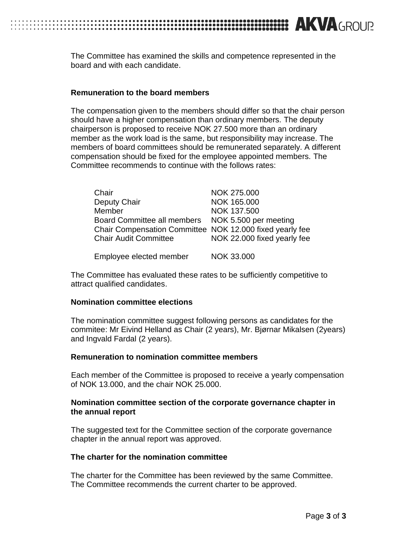The Committee has examined the skills and competence represented in the board and with each candidate.

#### **Remuneration to the board members**

The compensation given to the members should differ so that the chair person should have a higher compensation than ordinary members. The deputy chairperson is proposed to receive NOK 27.500 more than an ordinary member as the work load is the same, but responsibility may increase. The members of board committees should be remunerated separately. A different compensation should be fixed for the employee appointed members. The Committee recommends to continue with the follows rates:

| Chair                                                    | NOK 275.000                 |
|----------------------------------------------------------|-----------------------------|
| Deputy Chair                                             | NOK 165.000                 |
| Member                                                   | NOK 137.500                 |
| Board Committee all members                              | NOK 5.500 per meeting       |
| Chair Compensation Committee NOK 12.000 fixed yearly fee |                             |
| <b>Chair Audit Committee</b>                             | NOK 22.000 fixed yearly fee |
|                                                          |                             |
| Employee elected member                                  | NOK 33.000                  |

The Committee has evaluated these rates to be sufficiently competitive to attract qualified candidates.

#### **Nomination committee elections**

The nomination committee suggest following persons as candidates for the commitee: Mr Eivind Helland as Chair (2 years), Mr. Bjørnar Mikalsen (2years) and Ingvald Fardal (2 years).

#### **Remuneration to nomination committee members**

Each member of the Committee is proposed to receive a yearly compensation of NOK 13.000, and the chair NOK 25.000.

#### **Nomination committee section of the corporate governance chapter in the annual report**

The suggested text for the Committee section of the corporate governance chapter in the annual report was approved.

#### **The charter for the nomination committee**

The charter for the Committee has been reviewed by the same Committee. The Committee recommends the current charter to be approved.